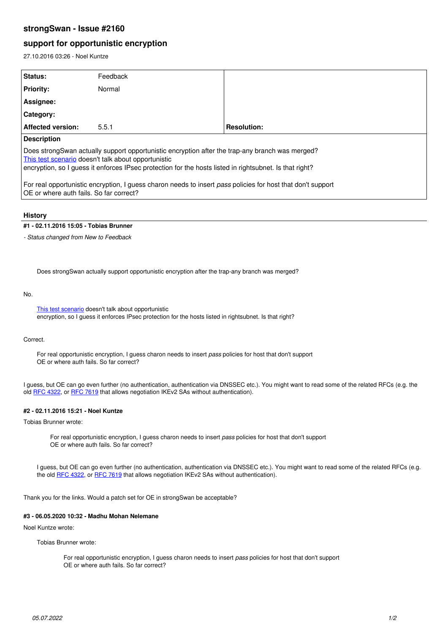## **strongSwan - Issue #2160**

# **support for opportunistic encryption**

27.10.2016 03:26 - Noel Kuntze

| Status:                                                                                                                                                                                                                                                           | Feedback |                    |
|-------------------------------------------------------------------------------------------------------------------------------------------------------------------------------------------------------------------------------------------------------------------|----------|--------------------|
| <b>Priority:</b>                                                                                                                                                                                                                                                  | Normal   |                    |
| Assignee:                                                                                                                                                                                                                                                         |          |                    |
| <b>Category:</b>                                                                                                                                                                                                                                                  |          |                    |
| <b>Affected version:</b>                                                                                                                                                                                                                                          | 5.5.1    | <b>Resolution:</b> |
| <b>Description</b>                                                                                                                                                                                                                                                |          |                    |
| Does strongSwan actually support opportunistic encryption after the trap-any branch was merged?<br>This test scenario doesn't talk about opportunistic<br>encryption, so I quess it enforces IPsec protection for the hosts listed in rightsubnet. Is that right? |          |                    |
| For real opportunistic encryption, I guess charon needs to insert pass policies for host that don't support<br>OE or where auth fails. So far correct?                                                                                                            |          |                    |

#### **History**

#### **#1 - 02.11.2016 15:05 - Tobias Brunner**

*- Status changed from New to Feedback*

Does strongSwan actually support opportunistic encryption after the trap-any branch was merged?

#### No.

[This test scenario](https://www.strongswan.org/testing/testresults/ikev2/trap-any/) doesn't talk about opportunistic encryption, so I guess it enforces IPsec protection for the hosts listed in rightsubnet. Is that right?

#### Correct.

For real opportunistic encryption, I guess charon needs to insert *pass* policies for host that don't support OE or where auth fails. So far correct?

I guess, but OE can go even further (no authentication, authentication via DNSSEC etc.). You might want to read some of the related RFCs (e.g. the old [RFC 4322,](https://tools.ietf.org/html/rfc4322) or [RFC 7619](https://tools.ietf.org/html/rfc7619) that allows negotiation IKEv2 SAs without authentication).

## **#2 - 02.11.2016 15:21 - Noel Kuntze**

Tobias Brunner wrote:

For real opportunistic encryption, I guess charon needs to insert *pass* policies for host that don't support OE or where auth fails. So far correct?

I guess, but OE can go even further (no authentication, authentication via DNSSEC etc.). You might want to read some of the related RFCs (e.g. the old [RFC 4322,](https://tools.ietf.org/html/rfc4322) or [RFC 7619](https://tools.ietf.org/html/rfc7619) that allows negotiation IKEv2 SAs without authentication).

Thank you for the links. Would a patch set for OE in strongSwan be acceptable?

## **#3 - 06.05.2020 10:32 - Madhu Mohan Nelemane**

Noel Kuntze wrote:

Tobias Brunner wrote:

For real opportunistic encryption, I guess charon needs to insert *pass* policies for host that don't support OE or where auth fails. So far correct?